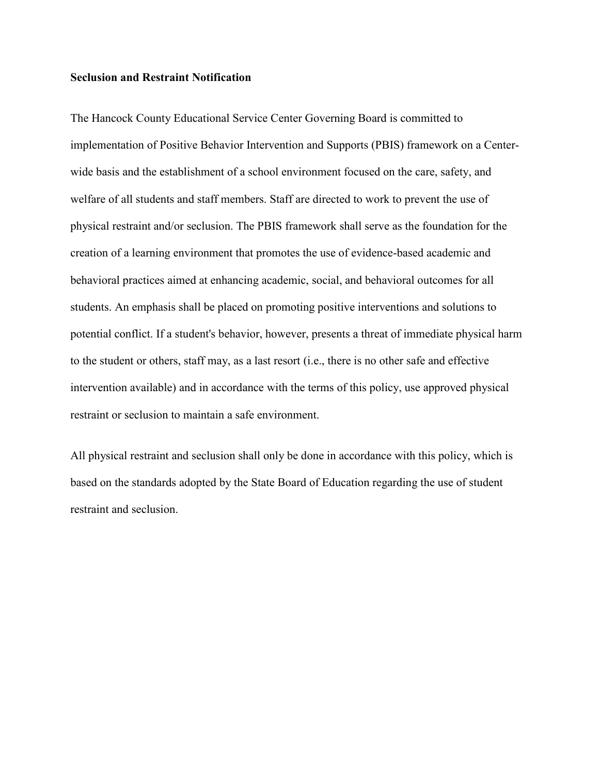## **Seclusion and Restraint Notification**

The Hancock County Educational Service Center Governing Board is committed to implementation of Positive Behavior Intervention and Supports (PBIS) framework on a Centerwide basis and the establishment of a school environment focused on the care, safety, and welfare of all students and staff members. Staff are directed to work to prevent the use of physical restraint and/or seclusion. The PBIS framework shall serve as the foundation for the creation of a learning environment that promotes the use of evidence-based academic and behavioral practices aimed at enhancing academic, social, and behavioral outcomes for all students. An emphasis shall be placed on promoting positive interventions and solutions to potential conflict. If a student's behavior, however, presents a threat of immediate physical harm to the student or others, staff may, as a last resort (i.e., there is no other safe and effective intervention available) and in accordance with the terms of this policy, use approved physical restraint or seclusion to maintain a safe environment.

All physical restraint and seclusion shall only be done in accordance with this policy, which is based on the standards adopted by the State Board of Education regarding the use of student restraint and seclusion.